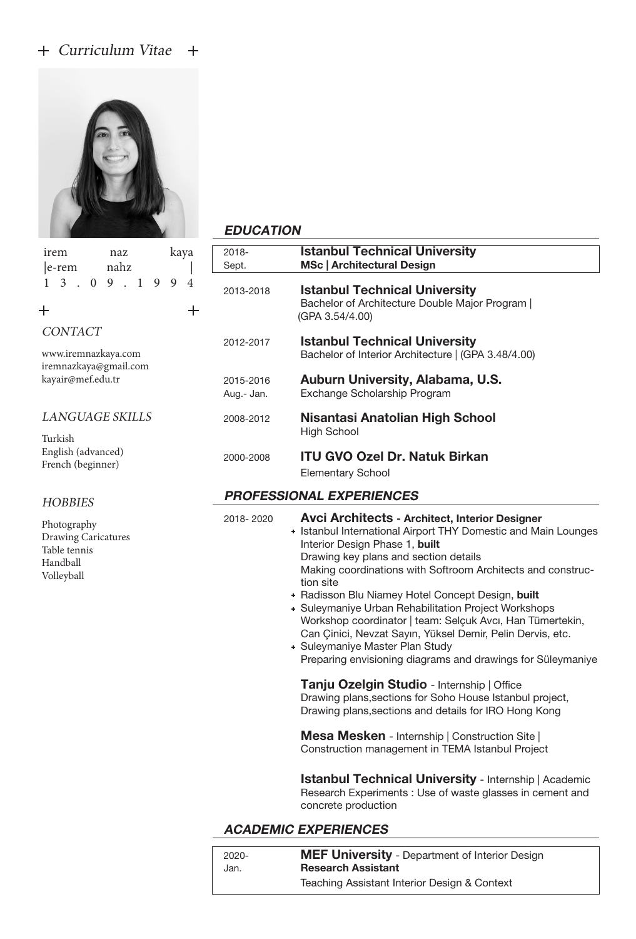## + Curriculum Vitae +



 $+$ 

| irem<br>naz<br>nahz<br>$ e$ -rem                                             | kaya            | 2018-<br>Sept.          | k<br>N                                                            |
|------------------------------------------------------------------------------|-----------------|-------------------------|-------------------------------------------------------------------|
| 3<br>$\mathbf{0}$<br>9<br>1<br>9<br>1                                        | 9<br>4<br>$\pm$ | 2013-2018               | k<br>B<br>(G)                                                     |
| CONTACT<br>www.iremnazkaya.com<br>iremnazkaya@gmail.com                      |                 | 2012-2017               | k<br>B                                                            |
| kayair@mef.edu.tr                                                            |                 | 2015-2016<br>Aug.- Jan. | Α<br>E                                                            |
| <b>LANGUAGE SKILLS</b>                                                       |                 | 2008-2012               | Ν<br>Н                                                            |
| Turkish<br>English (advanced)<br>French (beginner)                           |                 | 2000-2008               | ľ<br>Ε                                                            |
| <b>HOBBIES</b>                                                               |                 | <b>PROFESSION</b>       |                                                                   |
| Photography<br>Drawing Caricatures<br>Table tennis<br>Handball<br>Volleyball |                 | 2018-2020               | Α<br>+ Is<br>Ir<br>D<br>N<br>ti<br>+ R<br>+ S<br>V<br>C<br>S<br>D |

#### **EDUCATION**

| 2018-<br>Sept.                  | <b>Istanbul Technical University</b><br><b>MSc   Architectural Design</b>                                                                                                                                                                                                                                                                                                                                                                                                                                                                                                                                                |  |
|---------------------------------|--------------------------------------------------------------------------------------------------------------------------------------------------------------------------------------------------------------------------------------------------------------------------------------------------------------------------------------------------------------------------------------------------------------------------------------------------------------------------------------------------------------------------------------------------------------------------------------------------------------------------|--|
| 2013-2018                       | <b>Istanbul Technical University</b><br>Bachelor of Architecture Double Major Program  <br>(GPA 3.54/4.00)                                                                                                                                                                                                                                                                                                                                                                                                                                                                                                               |  |
| 2012-2017                       | <b>Istanbul Technical University</b><br>Bachelor of Interior Architecture   (GPA 3.48/4.00)                                                                                                                                                                                                                                                                                                                                                                                                                                                                                                                              |  |
| 2015-2016<br>Aug.- Jan.         | Auburn University, Alabama, U.S.<br>Exchange Scholarship Program                                                                                                                                                                                                                                                                                                                                                                                                                                                                                                                                                         |  |
| 2008-2012                       | Nisantasi Anatolian High School<br><b>High School</b>                                                                                                                                                                                                                                                                                                                                                                                                                                                                                                                                                                    |  |
| 2000-2008                       | <b>ITU GVO Ozel Dr. Natuk Birkan</b><br><b>Elementary School</b>                                                                                                                                                                                                                                                                                                                                                                                                                                                                                                                                                         |  |
| <b>PROFESSIONAL EXPERIENCES</b> |                                                                                                                                                                                                                                                                                                                                                                                                                                                                                                                                                                                                                          |  |
| 2018-2020                       | <b>Avci Architects - Architect, Interior Designer</b><br>+ Istanbul International Airport THY Domestic and Main Lounges<br>Interior Design Phase 1, built<br>Drawing key plans and section details<br>Making coordinations with Softroom Architects and construc-<br>tion site<br>+ Radisson Blu Niamey Hotel Concept Design, built<br>+ Suleymaniye Urban Rehabilitation Project Workshops<br>Workshop coordinator   team: Selçuk Avcı, Han Tümertekin,<br>Can Çinici, Nevzat Sayın, Yüksel Demir, Pelin Dervis, etc.<br>+ Suleymaniye Master Plan Study<br>Preparing envisioning diagrams and drawings for Süleymaniye |  |
|                                 | Tanju Ozelgin Studio - Internship   Office<br>Drawing plans, sections for Soho House Istanbul project,<br>Drawing plans, sections and details for IRO Hong Kong                                                                                                                                                                                                                                                                                                                                                                                                                                                          |  |
|                                 | Mesa Mesken - Internship   Construction Site  <br>Construction management in TEMA Istanbul Project                                                                                                                                                                                                                                                                                                                                                                                                                                                                                                                       |  |
|                                 |                                                                                                                                                                                                                                                                                                                                                                                                                                                                                                                                                                                                                          |  |

 Istanbul Technical University - Internship | Academic Research Experiments : Use of waste glasses in cement and concrete production

## ACADEMIC EXPERIENCES

| $2020 -$ | <b>MEF University</b> - Department of Interior Design |
|----------|-------------------------------------------------------|
| Jan.     | <b>Research Assistant</b>                             |
|          | Teaching Assistant Interior Design & Context          |